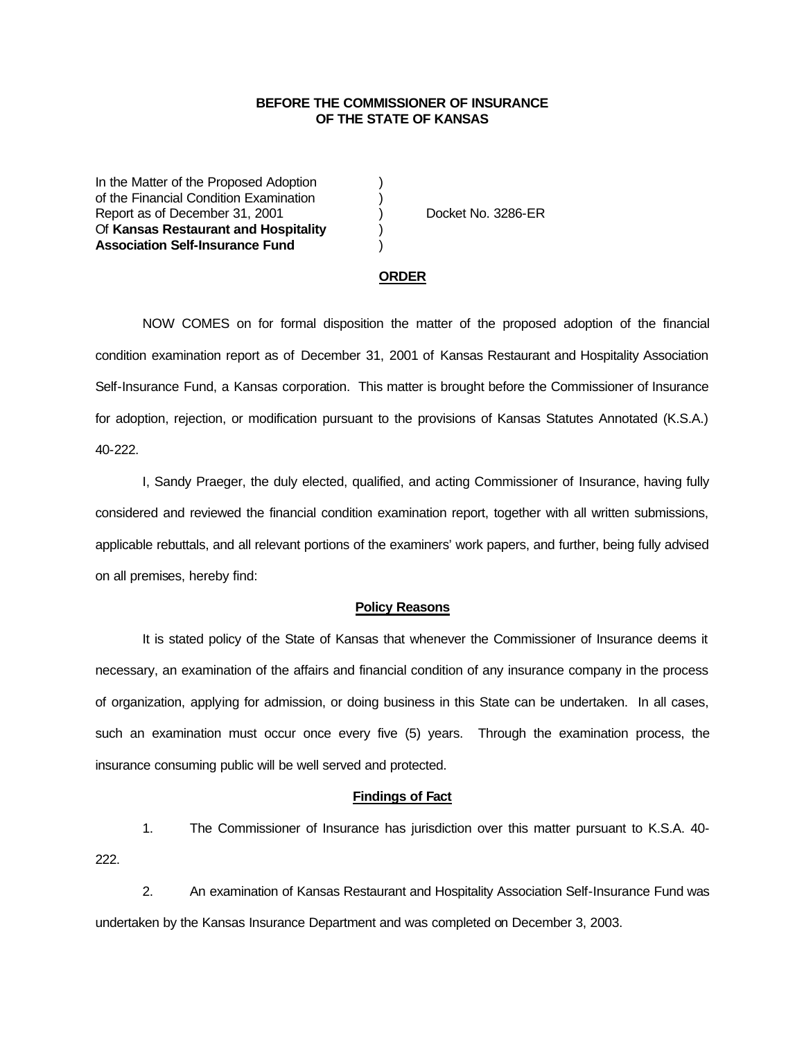## **BEFORE THE COMMISSIONER OF INSURANCE OF THE STATE OF KANSAS**

In the Matter of the Proposed Adoption of the Financial Condition Examination ) Report as of December 31, 2001 (and Separation Contract No. 3286-ER Of **Kansas Restaurant and Hospitality** ) **Association Self-Insurance Fund** )

#### **ORDER**

NOW COMES on for formal disposition the matter of the proposed adoption of the financial condition examination report as of December 31, 2001 of Kansas Restaurant and Hospitality Association Self-Insurance Fund, a Kansas corporation. This matter is brought before the Commissioner of Insurance for adoption, rejection, or modification pursuant to the provisions of Kansas Statutes Annotated (K.S.A.) 40-222.

I, Sandy Praeger, the duly elected, qualified, and acting Commissioner of Insurance, having fully considered and reviewed the financial condition examination report, together with all written submissions, applicable rebuttals, and all relevant portions of the examiners' work papers, and further, being fully advised on all premises, hereby find:

### **Policy Reasons**

It is stated policy of the State of Kansas that whenever the Commissioner of Insurance deems it necessary, an examination of the affairs and financial condition of any insurance company in the process of organization, applying for admission, or doing business in this State can be undertaken. In all cases, such an examination must occur once every five (5) years. Through the examination process, the insurance consuming public will be well served and protected.

### **Findings of Fact**

1. The Commissioner of Insurance has jurisdiction over this matter pursuant to K.S.A. 40- 222.

2. An examination of Kansas Restaurant and Hospitality Association Self-Insurance Fund was undertaken by the Kansas Insurance Department and was completed on December 3, 2003.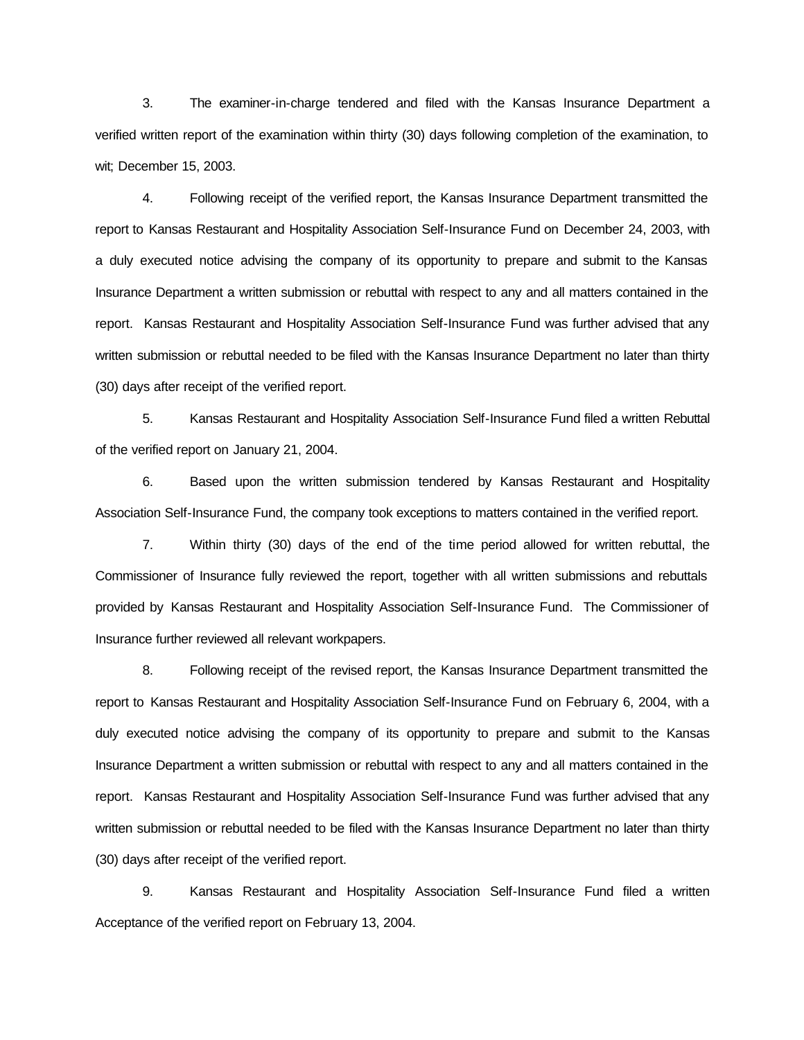3. The examiner-in-charge tendered and filed with the Kansas Insurance Department a verified written report of the examination within thirty (30) days following completion of the examination, to wit; December 15, 2003.

4. Following receipt of the verified report, the Kansas Insurance Department transmitted the report to Kansas Restaurant and Hospitality Association Self-Insurance Fund on December 24, 2003, with a duly executed notice advising the company of its opportunity to prepare and submit to the Kansas Insurance Department a written submission or rebuttal with respect to any and all matters contained in the report. Kansas Restaurant and Hospitality Association Self-Insurance Fund was further advised that any written submission or rebuttal needed to be filed with the Kansas Insurance Department no later than thirty (30) days after receipt of the verified report.

5. Kansas Restaurant and Hospitality Association Self-Insurance Fund filed a written Rebuttal of the verified report on January 21, 2004.

6. Based upon the written submission tendered by Kansas Restaurant and Hospitality Association Self-Insurance Fund, the company took exceptions to matters contained in the verified report.

7. Within thirty (30) days of the end of the time period allowed for written rebuttal, the Commissioner of Insurance fully reviewed the report, together with all written submissions and rebuttals provided by Kansas Restaurant and Hospitality Association Self-Insurance Fund. The Commissioner of Insurance further reviewed all relevant workpapers.

8. Following receipt of the revised report, the Kansas Insurance Department transmitted the report to Kansas Restaurant and Hospitality Association Self-Insurance Fund on February 6, 2004, with a duly executed notice advising the company of its opportunity to prepare and submit to the Kansas Insurance Department a written submission or rebuttal with respect to any and all matters contained in the report. Kansas Restaurant and Hospitality Association Self-Insurance Fund was further advised that any written submission or rebuttal needed to be filed with the Kansas Insurance Department no later than thirty (30) days after receipt of the verified report.

9. Kansas Restaurant and Hospitality Association Self-Insurance Fund filed a written Acceptance of the verified report on February 13, 2004.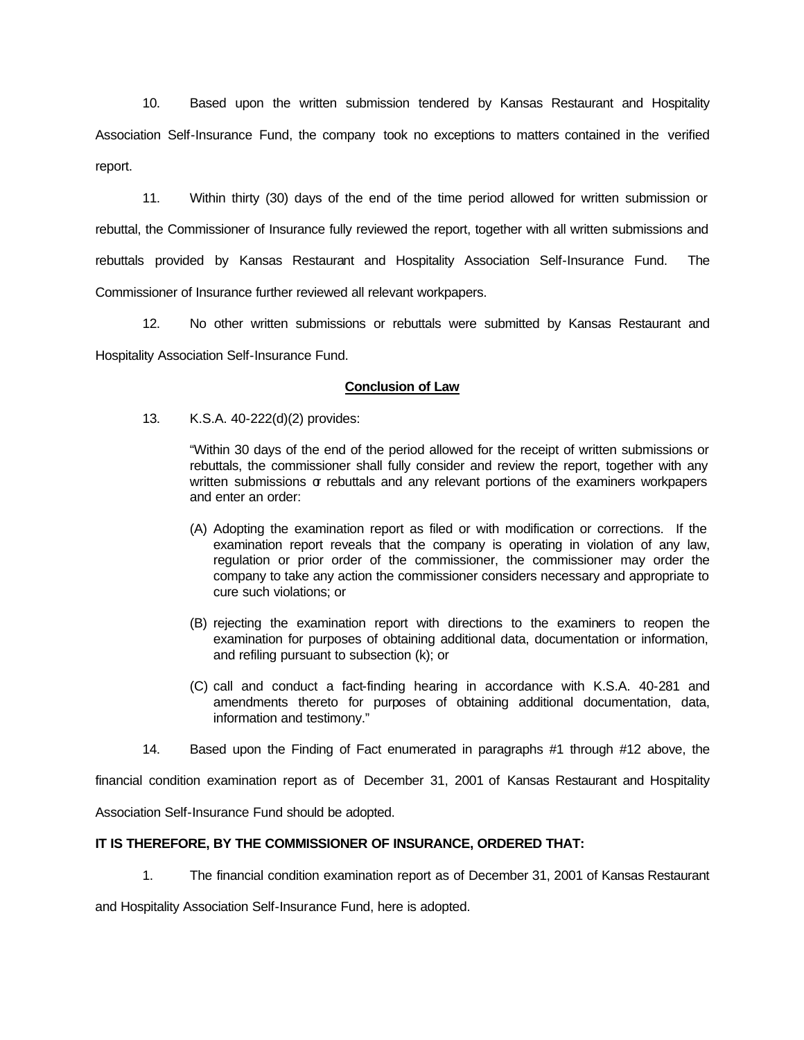10. Based upon the written submission tendered by Kansas Restaurant and Hospitality Association Self-Insurance Fund, the company took no exceptions to matters contained in the verified report.

11. Within thirty (30) days of the end of the time period allowed for written submission or rebuttal, the Commissioner of Insurance fully reviewed the report, together with all written submissions and rebuttals provided by Kansas Restaurant and Hospitality Association Self-Insurance Fund. The Commissioner of Insurance further reviewed all relevant workpapers.

12. No other written submissions or rebuttals were submitted by Kansas Restaurant and Hospitality Association Self-Insurance Fund.

## **Conclusion of Law**

13. K.S.A. 40-222(d)(2) provides:

"Within 30 days of the end of the period allowed for the receipt of written submissions or rebuttals, the commissioner shall fully consider and review the report, together with any written submissions or rebuttals and any relevant portions of the examiners workpapers and enter an order:

- (A) Adopting the examination report as filed or with modification or corrections. If the examination report reveals that the company is operating in violation of any law, regulation or prior order of the commissioner, the commissioner may order the company to take any action the commissioner considers necessary and appropriate to cure such violations; or
- (B) rejecting the examination report with directions to the examiners to reopen the examination for purposes of obtaining additional data, documentation or information, and refiling pursuant to subsection (k); or
- (C) call and conduct a fact-finding hearing in accordance with K.S.A. 40-281 and amendments thereto for purposes of obtaining additional documentation, data, information and testimony."
- 14. Based upon the Finding of Fact enumerated in paragraphs #1 through #12 above, the

financial condition examination report as of December 31, 2001 of Kansas Restaurant and Hospitality

Association Self-Insurance Fund should be adopted.

# **IT IS THEREFORE, BY THE COMMISSIONER OF INSURANCE, ORDERED THAT:**

1. The financial condition examination report as of December 31, 2001 of Kansas Restaurant

and Hospitality Association Self-Insurance Fund, here is adopted.